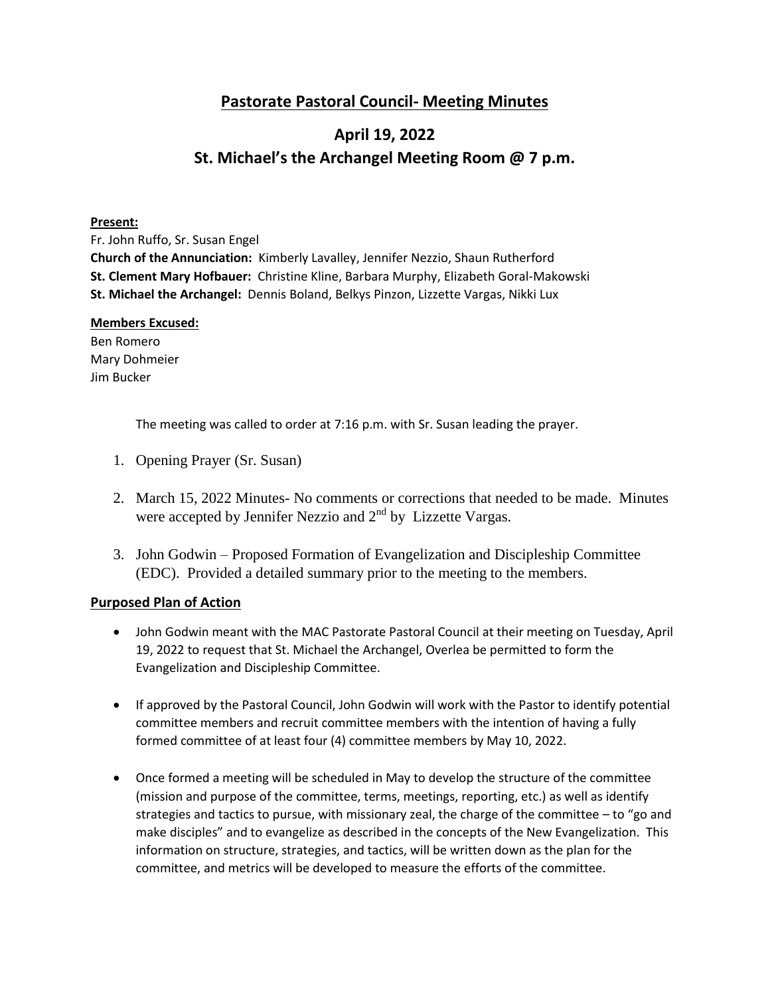## **Pastorate Pastoral Council- Meeting Minutes**

# **April 19, 2022 St. Michael's the Archangel Meeting Room @ 7 p.m.**

#### **Present:**

Fr. John Ruffo, Sr. Susan Engel **Church of the Annunciation:** Kimberly Lavalley, Jennifer Nezzio, Shaun Rutherford **St. Clement Mary Hofbauer:** Christine Kline, Barbara Murphy, Elizabeth Goral-Makowski **St. Michael the Archangel:** Dennis Boland, Belkys Pinzon, Lizzette Vargas, Nikki Lux

#### **Members Excused:**

Ben Romero Mary Dohmeier Jim Bucker

The meeting was called to order at 7:16 p.m. with Sr. Susan leading the prayer.

- 1. Opening Prayer (Sr. Susan)
- 2. March 15, 2022 Minutes- No comments or corrections that needed to be made. Minutes were accepted by Jennifer Nezzio and  $2<sup>nd</sup>$  by Lizzette Vargas.
- 3. John Godwin Proposed Formation of Evangelization and Discipleship Committee (EDC). Provided a detailed summary prior to the meeting to the members.

#### **Purposed Plan of Action**

- John Godwin meant with the MAC Pastorate Pastoral Council at their meeting on Tuesday, April 19, 2022 to request that St. Michael the Archangel, Overlea be permitted to form the Evangelization and Discipleship Committee.
- If approved by the Pastoral Council, John Godwin will work with the Pastor to identify potential committee members and recruit committee members with the intention of having a fully formed committee of at least four (4) committee members by May 10, 2022.
- Once formed a meeting will be scheduled in May to develop the structure of the committee (mission and purpose of the committee, terms, meetings, reporting, etc.) as well as identify strategies and tactics to pursue, with missionary zeal, the charge of the committee – to "go and make disciples" and to evangelize as described in the concepts of the New Evangelization. This information on structure, strategies, and tactics, will be written down as the plan for the committee, and metrics will be developed to measure the efforts of the committee.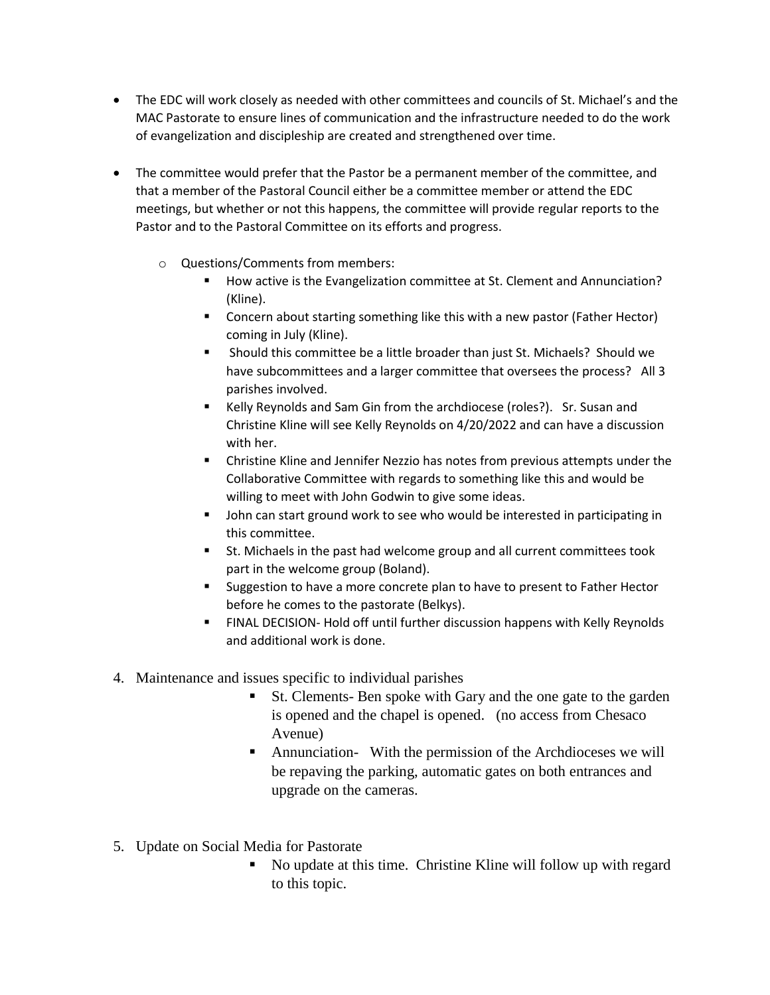- The EDC will work closely as needed with other committees and councils of St. Michael's and the MAC Pastorate to ensure lines of communication and the infrastructure needed to do the work of evangelization and discipleship are created and strengthened over time.
- The committee would prefer that the Pastor be a permanent member of the committee, and that a member of the Pastoral Council either be a committee member or attend the EDC meetings, but whether or not this happens, the committee will provide regular reports to the Pastor and to the Pastoral Committee on its efforts and progress.
	- o Questions/Comments from members:
		- How active is the Evangelization committee at St. Clement and Annunciation? (Kline).
		- **E** Concern about starting something like this with a new pastor (Father Hector) coming in July (Kline).
		- Should this committee be a little broader than just St. Michaels? Should we have subcommittees and a larger committee that oversees the process? All 3 parishes involved.
		- Kelly Reynolds and Sam Gin from the archdiocese (roles?). Sr. Susan and Christine Kline will see Kelly Reynolds on 4/20/2022 and can have a discussion with her.
		- Christine Kline and Jennifer Nezzio has notes from previous attempts under the Collaborative Committee with regards to something like this and would be willing to meet with John Godwin to give some ideas.
		- John can start ground work to see who would be interested in participating in this committee.
		- St. Michaels in the past had welcome group and all current committees took part in the welcome group (Boland).
		- **Suggestion to have a more concrete plan to have to present to Father Hector** before he comes to the pastorate (Belkys).
		- FINAL DECISION- Hold off until further discussion happens with Kelly Reynolds and additional work is done.
- 4. Maintenance and issues specific to individual parishes
	- St. Clements- Ben spoke with Gary and the one gate to the garden is opened and the chapel is opened. (no access from Chesaco Avenue)
	- Annunciation- With the permission of the Archdioceses we will be repaving the parking, automatic gates on both entrances and upgrade on the cameras.
- 5. Update on Social Media for Pastorate
	- No update at this time. Christine Kline will follow up with regard to this topic.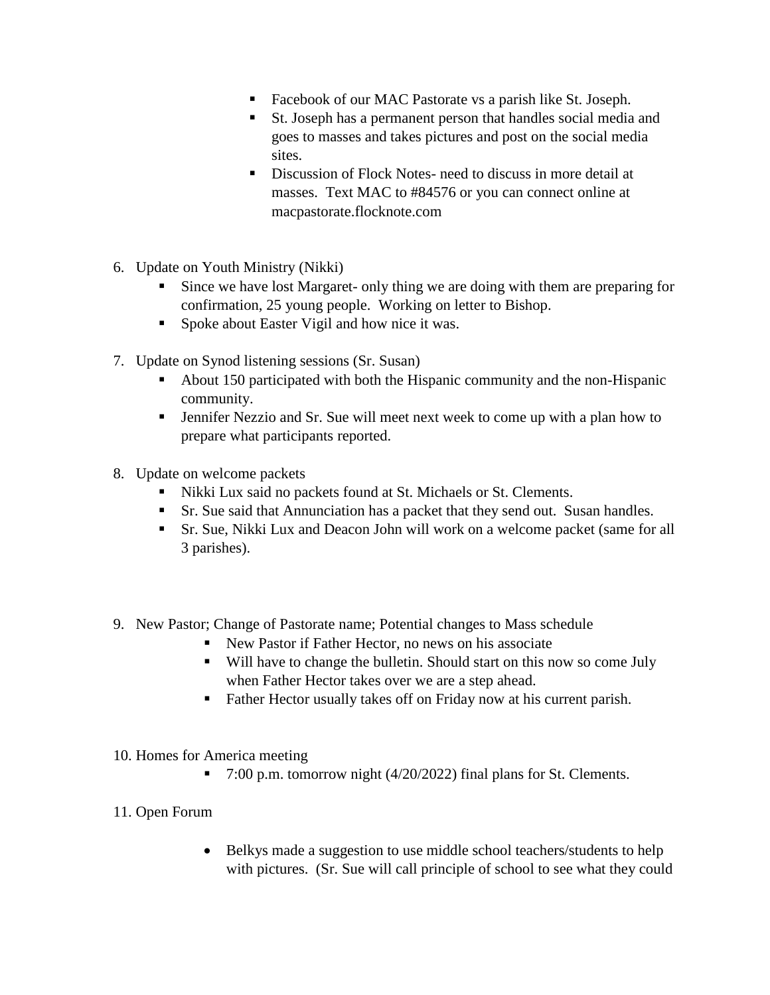- Facebook of our MAC Pastorate vs a parish like St. Joseph.
- St. Joseph has a permanent person that handles social media and goes to masses and takes pictures and post on the social media sites.
- Discussion of Flock Notes- need to discuss in more detail at masses. Text MAC to #84576 or you can connect online at macpastorate.flocknote.com
- 6. Update on Youth Ministry (Nikki)
	- Since we have lost Margaret- only thing we are doing with them are preparing for confirmation, 25 young people. Working on letter to Bishop.
	- **Spoke about Easter Vigil and how nice it was.**
- 7. Update on Synod listening sessions (Sr. Susan)
	- About 150 participated with both the Hispanic community and the non-Hispanic community.
	- Jennifer Nezzio and Sr. Sue will meet next week to come up with a plan how to prepare what participants reported.
- 8. Update on welcome packets
	- Nikki Lux said no packets found at St. Michaels or St. Clements.
	- **Sr.** Sue said that Annunciation has a packet that they send out. Susan handles.
	- Sr. Sue, Nikki Lux and Deacon John will work on a welcome packet (same for all 3 parishes).
- 9. New Pastor; Change of Pastorate name; Potential changes to Mass schedule
	- New Pastor if Father Hector, no news on his associate
	- Will have to change the bulletin. Should start on this now so come July when Father Hector takes over we are a step ahead.
	- Father Hector usually takes off on Friday now at his current parish.
- 10. Homes for America meeting
	- 7:00 p.m. tomorrow night  $(4/20/2022)$  final plans for St. Clements.
- 11. Open Forum
	- Belkys made a suggestion to use middle school teachers/students to help with pictures. (Sr. Sue will call principle of school to see what they could